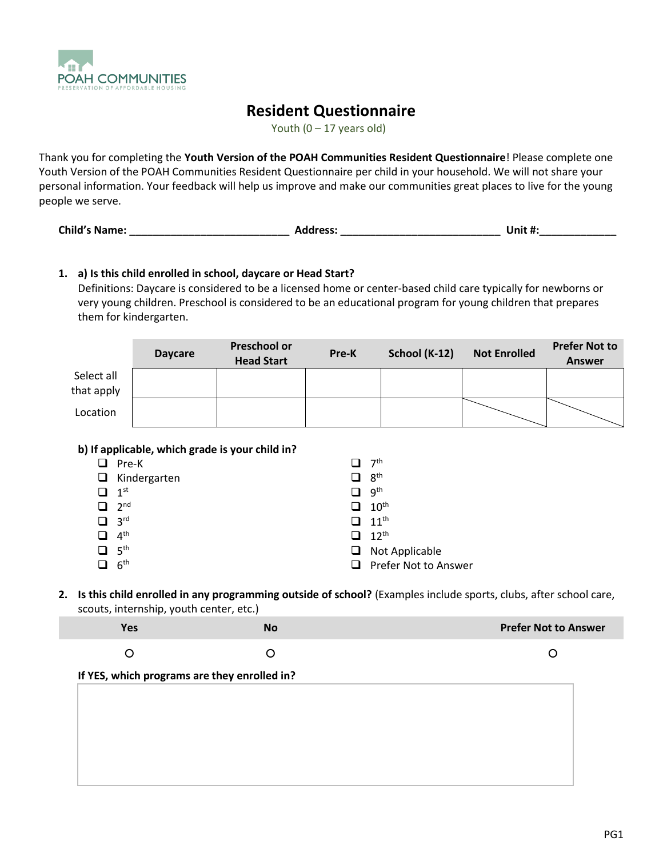

# **Resident Questionnaire**

Youth  $(0 - 17$  years old)

Thank you for completing the **Youth Version of the POAH Communities Resident Questionnaire**! Please complete one Youth Version of the POAH Communities Resident Questionnaire per child in your household. We will not share your personal information. Your feedback will help us improve and make our communities great places to live for the young people we serve.

| <b>Child's Name:</b> | <b>Address:</b> | Unit #: |
|----------------------|-----------------|---------|
|----------------------|-----------------|---------|

### **1. a) Is this child enrolled in school, daycare or Head Start?**

Definitions: Daycare is considered to be a licensed home or center-based child care typically for newborns or very young children. Preschool is considered to be an educational program for young children that prepares them for kindergarten.

|                          | <b>Daycare</b>                                                  | <b>Preschool or</b><br><b>Head Start</b> | Pre-K                                          | School (K-12) | <b>Not Enrolled</b> | <b>Prefer Not to</b><br><b>Answer</b> |
|--------------------------|-----------------------------------------------------------------|------------------------------------------|------------------------------------------------|---------------|---------------------|---------------------------------------|
| Select all<br>that apply |                                                                 |                                          |                                                |               |                     |                                       |
| Location                 |                                                                 |                                          |                                                |               |                     |                                       |
| $\Box$ Pre-K             | b) If applicable, which grade is your child in?<br>Kindergarten |                                          | 7 <sup>th</sup><br>n<br>$\Box$ g <sup>th</sup> |               |                     |                                       |

| $\Box$ Kindergarten    | ❏      | $-8$ <sup>th</sup>          |
|------------------------|--------|-----------------------------|
| 1 <sup>st</sup>        | $\Box$ | . gth                       |
| $-2nd$                 |        | $\Box$ 10 <sup>th</sup>     |
| $\Box$ 3 <sup>rd</sup> |        | $\Box$ 11 <sup>th</sup>     |
| $\Box$ 4 <sup>th</sup> |        | $\Box$ 12 <sup>th</sup>     |
| $\Box$ 5 <sup>th</sup> |        | $\Box$ Not Applicable       |
| 6 <sup>th</sup>        |        | $\Box$ Prefer Not to Answer |

**2. Is this child enrolled in any programming outside of school?** (Examples include sports, clubs, after school care, scouts, internship, youth center, etc.)

| Yes | No | <b>Prefer Not to Answer</b> |
|-----|----|-----------------------------|
|     |    |                             |

#### **If YES, which programs are they enrolled in?**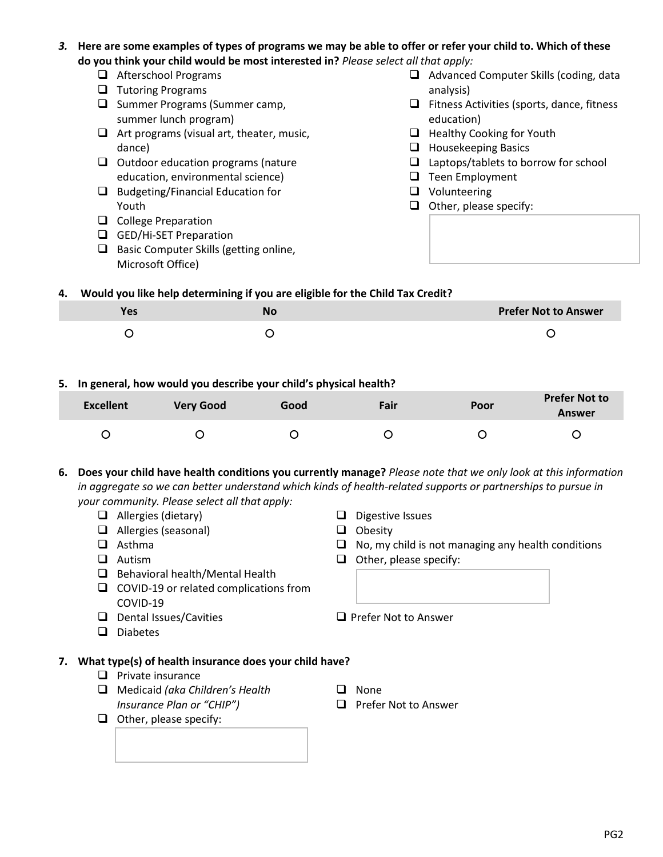- *3.* **Here are some examples of types of programs we may be able to offer or refer your child to. Which of these do you think your child would be most interested in?** *Please select all that apply:*
	- ❑ Afterschool Programs
	- ❑ Tutoring Programs
	- ❑ Summer Programs (Summer camp, summer lunch program)
	- ❑ Art programs (visual art, theater, music, dance)
	- ❑ Outdoor education programs (nature education, environmental science)
	- ❑ Budgeting/Financial Education for Youth
	- ❑ College Preparation
	- ❑ GED/Hi-SET Preparation
	- ❑ Basic Computer Skills (getting online, Microsoft Office)
- ❑ Advanced Computer Skills (coding, data analysis)
- ❑ Fitness Activities (sports, dance, fitness education)
- ❑ Healthy Cooking for Youth
- ❑ Housekeeping Basics
- ❑ Laptops/tablets to borrow for school
- ❑ Teen Employment
- ❑ Volunteering
- ❑ Other, please specify:

#### **4. Would you like help determining if you are eligible for the Child Tax Credit?**

| <b>Yes</b> | <b>No</b> | <b>Prefer Not to Answer</b> |
|------------|-----------|-----------------------------|
|            |           |                             |

#### **5. In general, how would you describe your child's physical health?**

| <b>Excellent</b> | <b>Very Good</b> | Good | Fair | Poor | <b>Prefer Not to</b><br><b>Answer</b> |
|------------------|------------------|------|------|------|---------------------------------------|
|                  |                  |      |      |      |                                       |

**6. Does your child have health conditions you currently manage?** *Please note that we only look at this information in aggregate so we can better understand which kinds of health-related supports or partnerships to pursue in your community. Please select all that apply:*

- ❑ Allergies (dietary)
- ❑ Allergies (seasonal)
- ❑ Asthma
- ❑ Autism
- ❑ Behavioral health/Mental Health
- ❑ COVID-19 or related complications from COVID-19
- ❑ Dental Issues/Cavities
- ❑ Diabetes

## **7. What type(s) of health insurance does your child have?**

- ❑ Private insurance
- ❑ Medicaid *(aka Children's Health Insurance Plan or "CHIP")*
- ❑ Other, please specify:
- ❑ Digestive Issues
- ❑ Obesity
- $\Box$  No, my child is not managing any health conditions
- ❑ Other, please specify:
- ❑ Prefer Not to Answer
- ❑ None
- ❑ Prefer Not to Answer